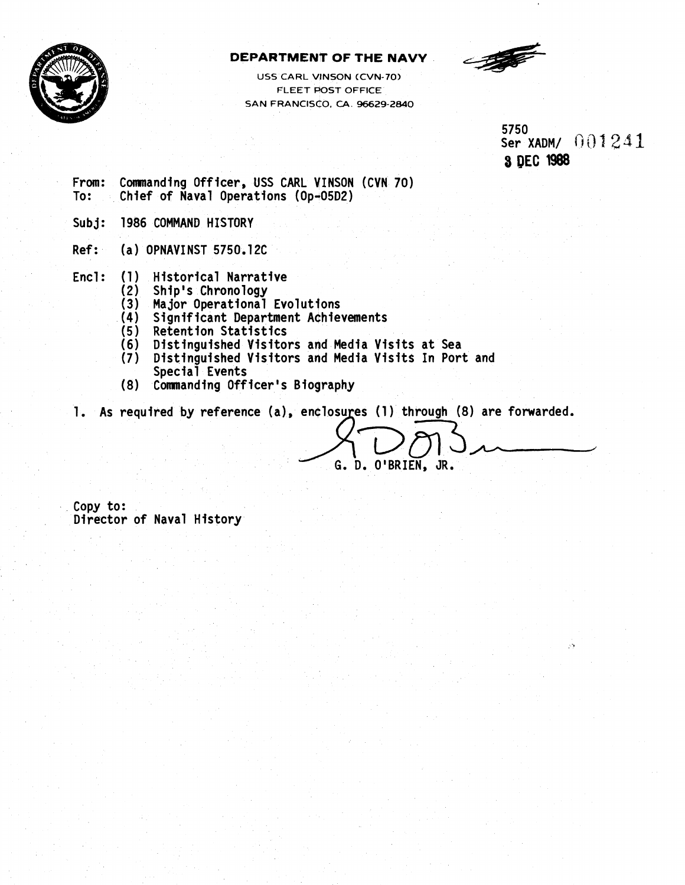

### **DEPARTMENT OF THE NAVY**

**US5 CARL VlNSQN (CVN-70) FLEET POST OFFICE SAN FRANCISCO. CA. 96629-2640** 



5750 Ser XADM/ 001241 **8 OEC 1988** 

- From: Commanding Officer, USS CARL VINSON (CVN 70)<br>To: Chief of Naval Operations (Op-05D2) Chief of Naval Operations (Op-05D2)
- Subj: 1986 COMMAND HISTORY
- Ref: (a) OPNAVINST 5750.1 2C
- Encl: (1) Historical Narrative<br>(2) Ship's Chronology
	- Ship's Chronology
	- (3) Major Operational Evolutions
	- (4) Significant Department Achievements
	- (5) Retention Statistics
	- (6) Distinguished Visitors and Media Visits at Sea
	- (7) Distinguished Visitors and Media Visits In Port and Special Events
	- (8) Commanding Officer's Biography

1. As required by reference (a), enclosures (1) through (8) are forwarded.

G. D. O'BRIEN, JR.

Copy to: Director of Naval History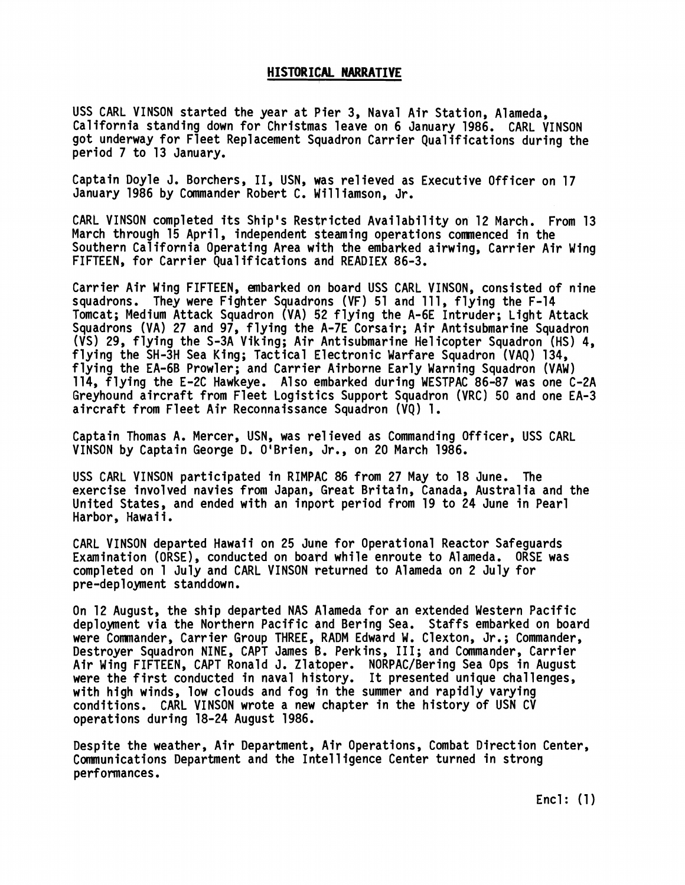### **HI STOR I CAL NARRATIVE**

USS CARL VINSON started the year at Pier 3, Naval Air Station, Alameda, California standing down for Christmas leave on 6 January 1986. CARL VINSON got underway for Fleet Replacement Squadron Carrier Qualifications during the period 7 to 13 January.

Captain Doyle J. Borchers, II, USN, was relieved as Executive Officer on 17 January 1986 by Commander Robert C. Williamson, Jr.

CARL VINSON completed its Ship's Restricted Availability on 12 March. From 13 March through 15 April, independent Steaming operations commenced in the Southern California Operating Area with the embarked airwing, Carrier Air Wing FIFTEEN, for Carrier Qualifications and READIEX 86-3.

Carrier Air Wing FIFTEEN, embarked on board USS CARL VINSON, consisted of nine squadrons. They were Fighter Squadrons (VF) 51 and 111, flying the F-14 Tomcat; Medium Attack Squadron (VA) 52 flying the A-6E Intruder; Light Attack Squadrons (VA) 27 and 97, flying the A-7E Corsair; Air Antisubmarine Squadron (VS) 29, flying the S-3A Viking; Air Antisubmarine Helicopter Squadron (HS) 4, flying the SH-3H Sea King; Tactical Electronic Warfare Squadron (VAQ) 134, flying the EA-6B Prowler; and Carrier Airborne Early Warning Squadron (VAW) 114, flying the E-2C Hawkeye. Also qmbarked during WESTPAC 86-87 was one C-2A Greyhound aircraft from Fleet Logistics Support Squadron (VRC) 50 and one EA-3 aircraft from Fleet Air Reconnaissance Squadron (VQ) 1.

Captain Thomas A. Mercer, USN, was relieved as Commanding Officer, USS CARL VINSON by Captain George D. O'Brien, Jr., on 20 March 1986.

USS CARL VINSON participated in RIMPAC 86 from 27 May to 18 June. The exercise involved navies from Japan, Great Britain, Canada, Australia and the United States, and ended with an inport period from 19 to 24 June in Pearl Harbor, Hawaii.<br>CARL VINSON departed Hawaii on 25 June for Operational Reactor Safeguards

Examination (ORSE), conducted on board while enroute to Alameda. ORSE was completed on 1 July and CARL VINSON returned to Alameda on 2 July for pre-deployment standdown.

On 12 August, the ship departed NAS Alameda for an extended Western Pacific deployment via the Northern Pacific and Bering Sea. Staffs embarked on board were Commander, Carrier Group THREE, RADM Edward W. Clexton, Jr.; Commander, Destroyer Squadron NINE, CAPT James B. Perkins, 111; and Commander, Carrier Air Wing FIFTEEN, CAPT Ronald J. Zlatoper. NORPAC/Bering Sea Ops in August were the first conducted in naval history. It presented unique challenges. with high winds, low clouds and fog in the summer and rapidly varying conditions. CARL VINSON wrote a new chapter in the history of USN CV operations during 18-24 August 1986.

Despite the weather, Air Department, Air Operations, Combat Direction Center, Communications Department and the Intel 1 igence Center turned in strong performances.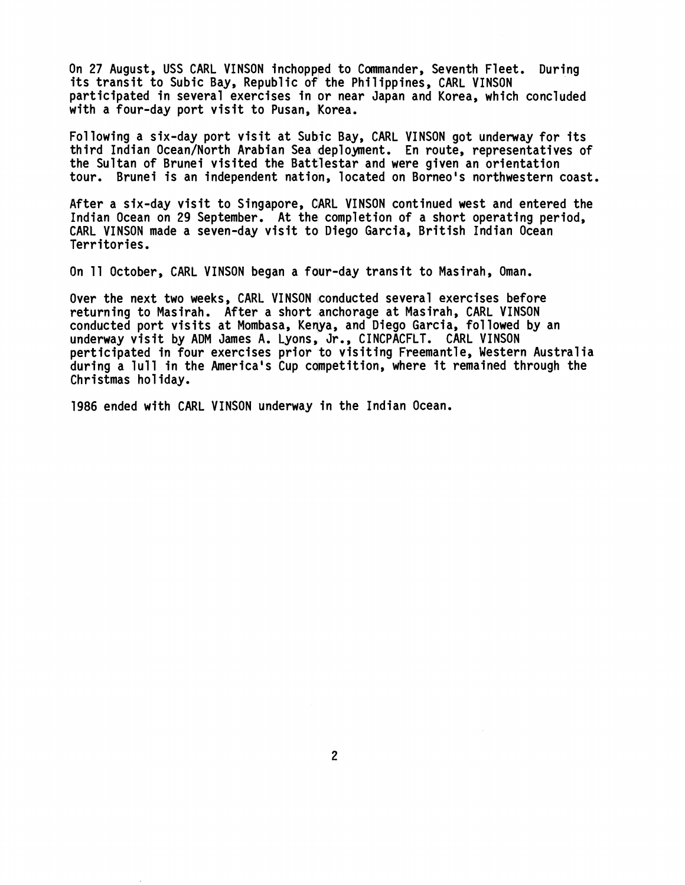On 27 August, USS CARL VINSON inchopped to Commander, Seventh Fleet. During its transit to Subic Bay, Republic of the Philippines, CARL VINSON participated in several exercises in or near Japan and Korea, which concluded with a four-day port visit to Pusan, Korea.

Following a six-day port visit at Subic Bay, CARL VINSON got underway for its third Indian Ocean/North Arabian Sea deployment. En route, representatives of the Sultan of Brunei visited the Battlestar and were given an orientation tour. Brunei is an independent nation, located on Borneo's northwestern coast.

After a six-day visit to Singapore, CARL VINSON continued west and entered the Indian Ocean on 29 September. At the completion of a short operating period, CARL VINSON made a seven-day visit to Diego Garcia, British Indian Ocean Territories.

On 11 October, CARL VINSON began a four-day transit to Masirah, Oman.

Over the next two weeks, CARL VINSON conducted several exercises before returning to Masirah. After a short anchorage at Masirah, CARL VINSON conducted port visits at Mombasa, Kenya, and Dfego Garcia, followed by an underway visit by ADM James A. Lyons, Jr., CINCPACFLT. CARL VINSON perticipated in four exercises prior to visiting Freemantle, Western Australia during a lull in the America's Cup competition, where it remained through the Christmas hol iday.

1986 ended with CARL VINSON underway in the Indian Ocean.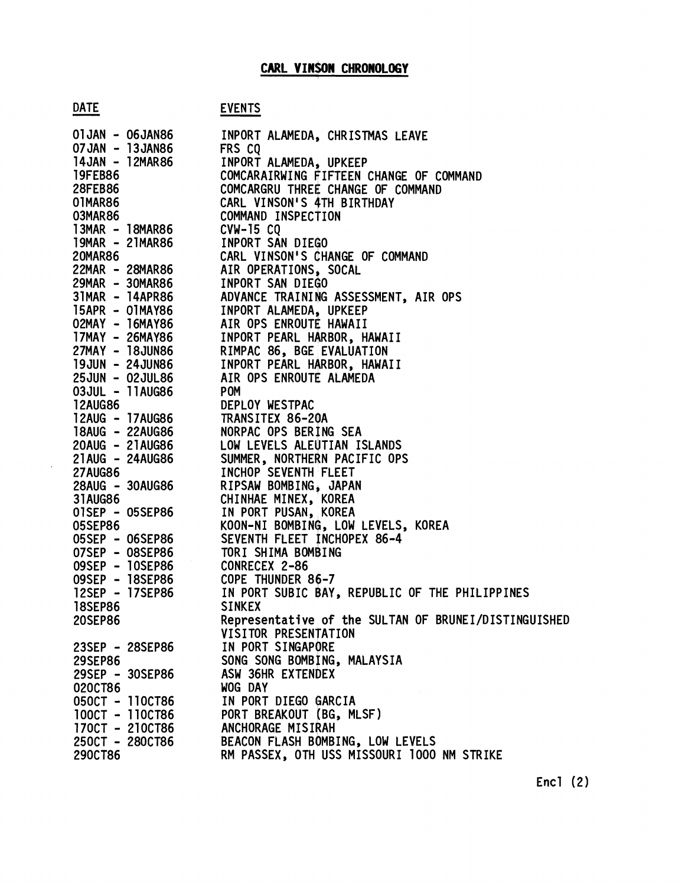$\sim$ 

| CARL VINSON CHRONOLOGY             |                                                       |  |  |  |  |  |
|------------------------------------|-------------------------------------------------------|--|--|--|--|--|
| <b>DATE</b>                        | <b>EVENTS</b>                                         |  |  |  |  |  |
| 01JAN - 06JAN86                    | INPORT ALAMEDA, CHRISTMAS LEAVE                       |  |  |  |  |  |
| 07JAN - 13JAN86                    | FRS CQ                                                |  |  |  |  |  |
| 14JAN - 12MAR86                    | INPORT ALAMEDA, UPKEEP                                |  |  |  |  |  |
| <b>19FEB86</b>                     | COMCARAIRWING FIFTEEN CHANGE OF COMMAND               |  |  |  |  |  |
| <b>28FEB86</b>                     | COMCARGRU THREE CHANGE OF COMMAND                     |  |  |  |  |  |
| 01MAR86<br>03MAR86                 | CARL VINSON'S 4TH BIRTHDAY<br>COMMAND INSPECTION      |  |  |  |  |  |
| 13MAR - 18MAR86                    | $CVM-15 CQ$                                           |  |  |  |  |  |
| 19MAR - 21MAR86                    | INPORT SAN DIEGO                                      |  |  |  |  |  |
| <b>20MAR86</b>                     | CARL VINSON'S CHANGE OF COMMAND                       |  |  |  |  |  |
| 22MAR - 28MAR86                    | AIR OPERATIONS, SOCAL                                 |  |  |  |  |  |
| 29MAR - 30MAR86                    | INPORT SAN DIEGO                                      |  |  |  |  |  |
| 31MAR - 14APR86                    | ADVANCE TRAINING ASSESSMENT, AIR OPS                  |  |  |  |  |  |
| 15APR - OIMAY86                    | INPORT ALAMEDA, UPKEEP                                |  |  |  |  |  |
| 02MAY - 16MAY86                    | AIR OPS ENROUTE HAWAII                                |  |  |  |  |  |
| 17MAY - 26MAY86                    | INPORT PEARL HARBOR, HAWAII                           |  |  |  |  |  |
| 27MAY - 18JUN86                    | RIMPAC 86, BGE EVALUATION                             |  |  |  |  |  |
| 19JUN - 24JUN86                    | INPORT PEARL HARBOR, HAWAII                           |  |  |  |  |  |
| 25JUN - 02JUL86<br>03JUL - 11AUG86 | AIR OPS ENROUTE ALAMEDA                               |  |  |  |  |  |
| <b>12AUG86</b>                     | <b>POM</b><br>DEPLOY WESTPAC                          |  |  |  |  |  |
| 12AUG - 17AUG86                    | TRANSITEX 86-20A                                      |  |  |  |  |  |
| 18AUG - 22AUG86                    | NORPAC OPS BERING SEA                                 |  |  |  |  |  |
| 20AUG - 21AUG86                    | LOW LEVELS ALEUTIAN ISLANDS                           |  |  |  |  |  |
| 21AUG - 24AUG86                    | SUMMER, NORTHERN PACIFIC OPS                          |  |  |  |  |  |
| <b>27AUG86</b>                     | INCHOP SEVENTH FLEET                                  |  |  |  |  |  |
| 28AUG - 30AUG86                    | RIPSAW BOMBING, JAPAN                                 |  |  |  |  |  |
| 31AUG86                            | CHINHAE MINEX, KOREA                                  |  |  |  |  |  |
| 01SEP - 05SEP86                    | IN PORT PUSAN, KOREA                                  |  |  |  |  |  |
| 05SEP86                            | KOON-NI BOMBING, LOW LEVELS, KOREA                    |  |  |  |  |  |
| - 06SEP86<br>05SEP                 | SEVENTH FLEET INCHOPEX 86-4                           |  |  |  |  |  |
| 07SEP - 08SEP86                    | TORI SHIMA BOMBING                                    |  |  |  |  |  |
| 09SEP - 10SEP86<br>09SEP - 18SEP86 | CONRECEX 2-86<br>COPE THUNDER 86-7                    |  |  |  |  |  |
| 12SEP - 17SEP86                    | IN PORT SUBIC BAY, REPUBLIC OF THE PHILIPPINES        |  |  |  |  |  |
| <b>18SEP86</b>                     | <b>SINKEX</b>                                         |  |  |  |  |  |
| 20SEP86                            | Representative of the SULTAN OF BRUNEI/DISTINGUISHED  |  |  |  |  |  |
|                                    | VISITOR PRESENTATION                                  |  |  |  |  |  |
| 23SEP - 28SEP86                    | IN PORT SINGAPORE                                     |  |  |  |  |  |
| <b>29SEP86</b>                     | SONG SONG BOMBING, MALAYSIA                           |  |  |  |  |  |
| 29SEP - 30SEP86                    | ASW 36HR EXTENDEX                                     |  |  |  |  |  |
| 020CT86                            | WOG DAY                                               |  |  |  |  |  |
| 050CT - 110CT86                    | IN PORT DIEGO GARCIA                                  |  |  |  |  |  |
| 100CT - 110CT86                    | PORT BREAKOUT (BG, MLSF)                              |  |  |  |  |  |
| 170CT - 210CT86<br>250CT - 280CT86 | ANCHORAGE MISIRAH<br>BEACON FLASH BOMBING, LOW LEVELS |  |  |  |  |  |
| 290CT86                            | RM PASSEX, OTH USS MISSOURI 1000 NM STRIKE            |  |  |  |  |  |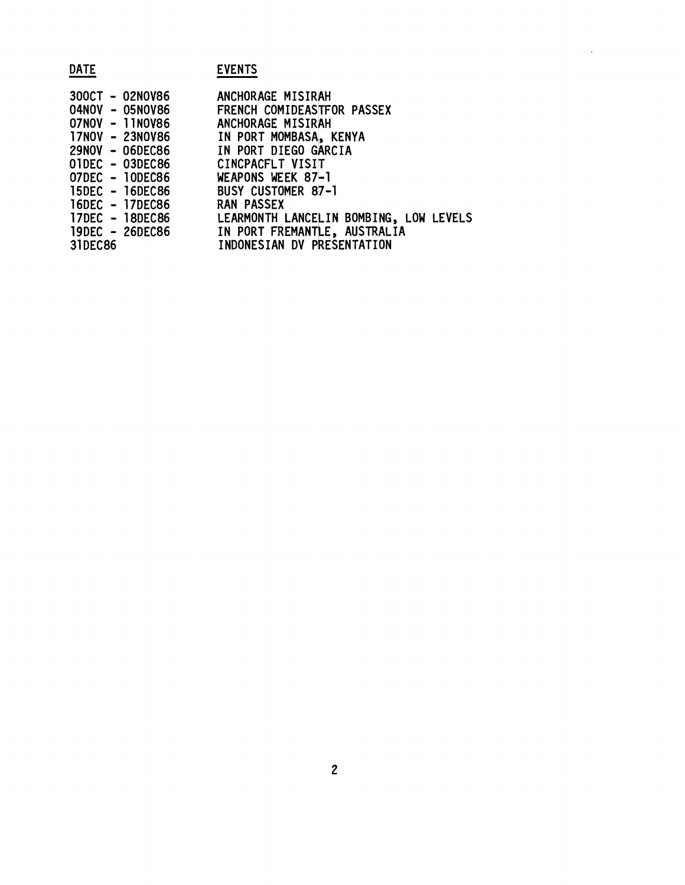| <b>DATE</b>                                                                                                                                                                                                              | <b>EVENTS</b>                                                                                                                                                                                                                                                                                                      |
|--------------------------------------------------------------------------------------------------------------------------------------------------------------------------------------------------------------------------|--------------------------------------------------------------------------------------------------------------------------------------------------------------------------------------------------------------------------------------------------------------------------------------------------------------------|
| 300CT - 02NOV86<br>04NOV - 05NOV86<br>07NOV - 11NOV86<br>17NOV - 23NOV86<br>29NOV - 06DEC86<br>01DEC - 03DEC86<br>07DEC - 10DEC86<br>15DEC - 16DEC86<br>16DEC - 17DEC86<br>17DEC - 18DEC86<br>19DEC - 26DEC86<br>31DEC86 | ANCHORAGE MISIRAH<br>FRENCH COMIDEASTFOR PASSEX<br>ANCHORAGE MISIRAH<br>IN PORT MOMBASA, KENYA<br>IN PORT DIEGO GARCIA<br>CINCPACFLT VISIT<br>WEAPONS WEEK 87-1<br>BUSY CUSTOMER 87-1<br><b>RAN PASSEX</b><br>LEARMONTH LANCELIN BOMBING, LOW LEVELS<br>IN PORT FREMANTLE, AUSTRALIA<br>INDONESIAN DV PRESENTATION |

 $\ddot{\phantom{a}}$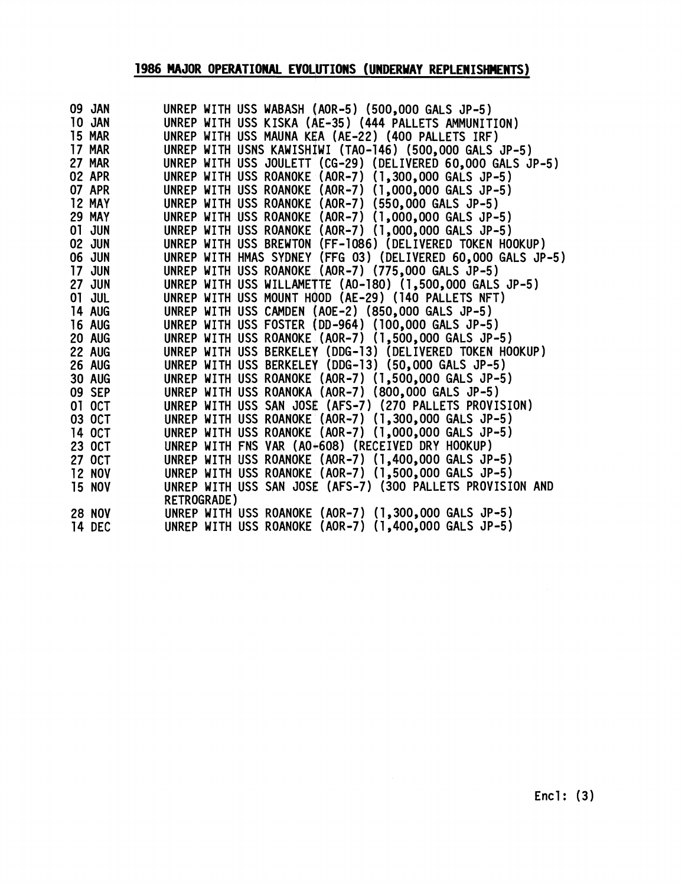## **1986 MAJOR OPERATIONAL EVOLUTIONS (UNDERWAY REPLENISHMENTS)**

| 09 JAN        | UNREP WITH USS WABASH (AOR-5) (500,000 GALS JP-5)            |
|---------------|--------------------------------------------------------------|
| 10 JAN        | UNREP WITH USS KISKA (AE-35) (444 PALLETS AMMUNITION)        |
| <b>15 MAR</b> | UNREP WITH USS MAUNA KEA (AE-22) (400 PALLETS IRF)           |
| 17 MAR        | UNREP WITH USNS KAWISHIWI (TAO-146) (500,000 GALS JP-5)      |
| <b>27 MAR</b> | UNREP WITH USS JOULETT (CG-29) (DELIVERED 60,000 GALS JP-5)  |
| <b>02 APR</b> | UNREP WITH USS ROANOKE (AOR-7) (1,300,000 GALS JP-5)         |
| 07 APR        | UNREP WITH USS ROANOKE (AOR-7) (1,000,000 GALS JP-5)         |
| 12 MAY        | UNREP WITH USS ROANOKE (AOR-7) (550,000 GALS JP-5)           |
| <b>29 MAY</b> | UNREP WITH USS ROANOKE (AOR-7) (1,000,000 GALS JP-5)         |
| 01 JUN        | UNREP WITH USS ROANOKE (AOR-7) (1,000,000 GALS JP-5)         |
| <b>02 JUN</b> | UNREP WITH USS BREWTON (FF-1086) (DELIVERED TOKEN HOOKUP)    |
| <b>06 JUN</b> | UNREP WITH HMAS SYDNEY (FFG 03) (DELIVERED 60,000 GALS JP-5) |
| <b>17 JUN</b> | UNREP WITH USS ROANOKE (AOR-7) (775,000 GALS JP-5)           |
| <b>27 JUN</b> | UNREP WITH USS WILLAMETTE (A0-180) (1,500,000 GALS JP-5)     |
| 01 JUL        | UNREP WITH USS MOUNT HOOD (AE-29) (140 PALLETS NFT)          |
| <b>14 AUG</b> | UNREP WITH USS CAMDEN (AOE-2) (850,000 GALS JP-5)            |
| <b>16 AUG</b> | UNREP WITH USS FOSTER (DD-964) (100,000 GALS JP-5)           |
| 20 AUG        | UNREP WITH USS ROANOKE (AOR-7) (1,500,000 GALS JP-5)         |
| <b>22 AUG</b> | UNREP WITH USS BERKELEY (DDG-13) (DELIVERED TOKEN HOOKUP)    |
| <b>26 AUG</b> | UNREP WITH USS BERKELEY (DDG-13) (50,000 GALS JP-5)          |
| <b>30 AUG</b> | UNREP WITH USS ROANOKE (AOR-7) (1,500,000 GALS JP-5)         |
| 09 SEP        | UNREP WITH USS ROANOKA (AOR-7) (800,000 GALS JP-5)           |
| 01 OCT        | UNREP WITH USS SAN JOSE (AFS-7) (270 PALLETS PROVISION)      |
| 03 OCT        | UNREP WITH USS ROANOKE (AOR-7) (1,300,000 GALS JP-5)         |
| 14 OCT        | UNREP WITH USS ROANOKE (AOR-7) (1,000,000 GALS JP-5)         |
| 23 OCT        | UNREP WITH FNS VAR (A0+608) (RECEIVED DRY HOOKUP)            |
| 27 OCT        | UNREP WITH USS ROANOKE (AOR-7) (1,400,000 GALS JP-5)         |
| <b>12 NOV</b> | UNREP WITH USS ROANOKE (AOR-7) (1,500,000 GALS JP-5)         |
| <b>15 NOV</b> | UNREP WITH USS SAN JOSE (AFS-7) (300 PALLETS PROVISION AND   |
|               | <b>RETROGRADE)</b>                                           |
| <b>28 NOV</b> | UNREP WITH USS ROANOKE (AOR-7) (1,300,000 GALS JP-5)         |
| 14 DEC        | UNREP WITH USS ROANOKE (AOR-7) (1,400,000 GALS JP-5)         |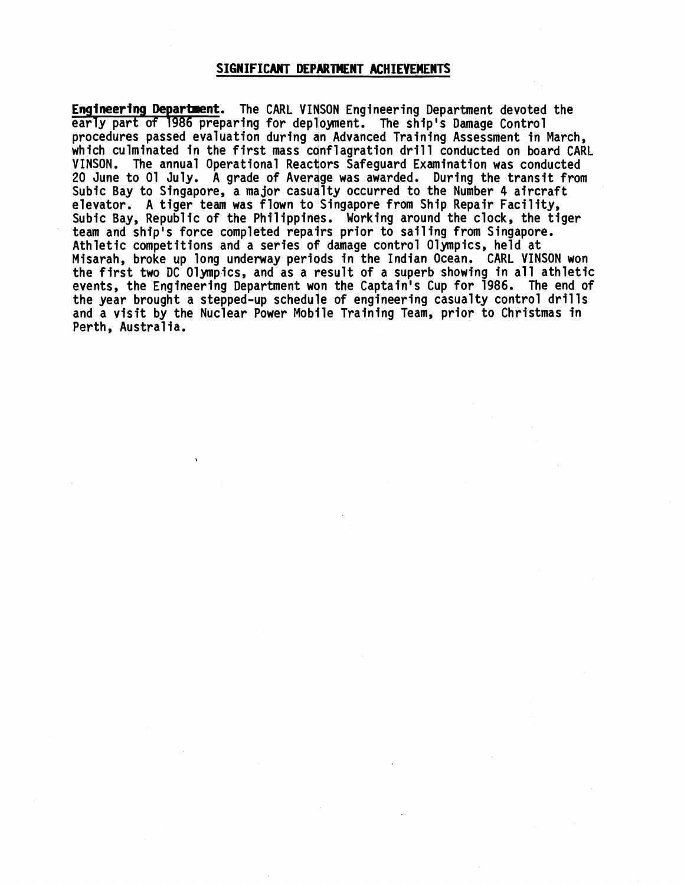### **SIGNIFICANT DEPARTMENT ACHIEVEHENTS**

**Engineering Departnent.** The CARL VINSON Engineering Department devoted the early part of 1986 preparing for deplloyment. The ship's Damage Control procedures passed evaluation during an Advanced Training Assessment in March, which culminated in the first mass conflagration drill conducted on board CARL VINSON. The annual Operational Reactors Safeguard Examination was conducted 20 June to 01 July. A grade of Average was awarded. During the transit from Subic Bay to Singapore, a major casualty occurred to the Number 4 aircraft elevator. A tiger team was flown to Singapore from Ship Repair Facility, Subic Bay, Republic of the Philippines. Working around the clock, the tiger team and ship's force completed repairs prior to sailing from Singapore. Athletic competitions and a series of damage control Olympics, held at Misarah, broke up long underway periods in the Indian Ocean. CARL VINSON won the first two DC Olympics, and as a result of a superb showing in all athletic events, the Engineering Department won the Captain's Cup for 1986. The end of the year brought a stepped-up schedule of engineering casualty control drills and a visit by the Nuclear Power Mobile Training Team, prior to Christmas in Perth, Australia.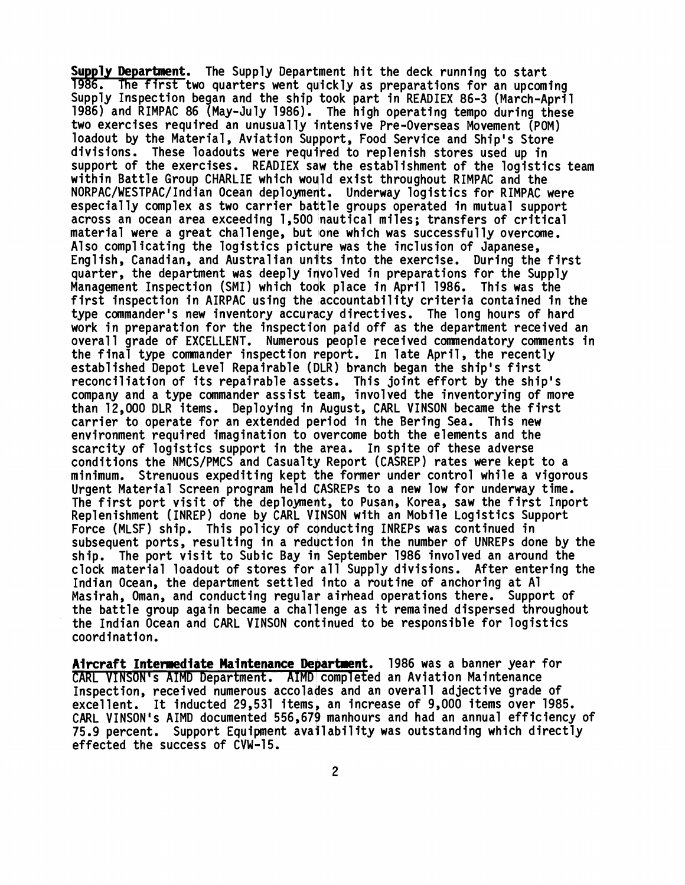**Supply Department.** The Supply Department hit the deck running to start 1986. The first two quarters went quickly as preparations for an upcoming Supply Inspection began and the ship took part in READIEX 86-3 (March-April 1986) and RIMPAC 86 (May-July 1986). The high operating tempo during these two exercises required an unusual ly intensive Pre-Overseas Movement (POM) loadout by the Material, Aviation Support, Food Service and Ship's Store divisions. These loadouts were requilred to replenish stores used up in support of the exercises. READIEX saw the establishment of the logistics team within Battle Group CHARLIE which would exist throughout RIMPAC and the NORPAC/WESTPAC/Indian Ocean deployment. Underway logistics for RIMPAC were especially complex as two carrier battle groups operated in mutual support across an ocean area exceeding 1,500 nautical miles; transfers of critical material were a great challenge, but one which was successfully overcome. Also complicating the logistics picture was the inclusion of Japanese, English, Canadian, and Australian unilts into the exercise. During the first quarter, the department was deeply involved in preparations for the Supply Management Inspection (SMI) which toak place in April 1986. This was the first inspection in AIRPAC using the accountability criteria contained in the type commander's new inventory accuracy directives. The long hours of hard work in preparation for the inspection paid off as the department received an overall grade of EXCELLENT. Numerous people received comnendatory comments in the final type commander inspection neport. In late April, the recently established Depot Level Repairable (DLR) branch began the ship's first reconciliation of its repairable assets. This joint effort by the ship's company and a type commander assist team, involved the inventorying of more than 12,000 DLR items. Deploying in August, CARL VINSON became the first carrier to operate for an extended period in the Bering Sea. This new environment required imagination to overcome both the elements and the scarcity of logistics support in the area. In spite of these adverse conditions the NMCS/PMCS and Casualty Report (CASREP) rates were kept to a minimum. Strenuous expediting kept the former under control while a vigorous Urgent Material Screen program held OASREPS to a new low for underway time. The first port visit of the deployment, to Pusan, Korea, saw the first Inport Replenishment (INREP) done by CARL VINSON with an Mobile Logistics Support Force (MLSF) ship. This policy of conducting INREPs was continued in subsequent ports, resulting in a reduction in the number of UNREPs done by the ship. The port visit to Subic Bay in September 1986 involved an around the clock material loadout of stores for all Supply divisions. After entering the Indian Ocean, the department settled into a routine of anchoring at A1 Masirah, Oman, and conducting regular airhead operations there. Support of the battle group again became a challenge as it remained dispersed throughout the Indian Ocean and CARL VINSON continued to be responsible for logistics coordination.

**Aircraft Intermediate Maintenance Department.** 1986 was a banner year for CARL VINSON's AIMD Department. AIMD completed an Aviation Maintenance Inspection, received numerous accolades and an overall adjective grade of excellent. It inducted 29,531 items, an increase of 9,000 items over 1985. CARL VINSON's AIMD documented 556,671 manhours and had an annual efficiency of 75.9 percent. Support Equipment avaiilabil ity was outstanding which directly effected the success of CVW-15.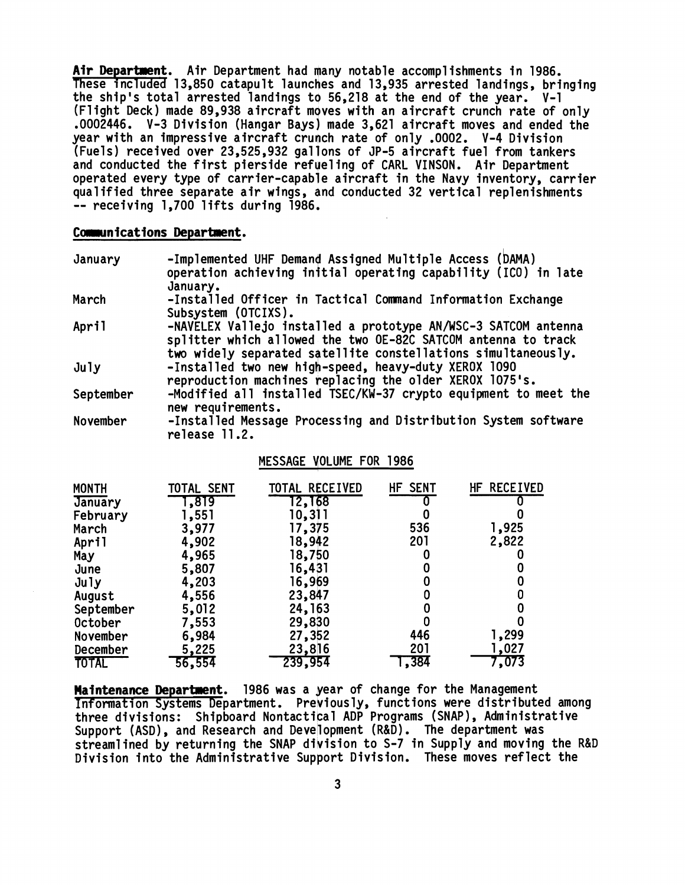Air Department. Air Department had many notable accomplishments in 1986.<br>These included 13,850 catapult launches and 13,935 arrested landings, brithe ship's total arrested landings to 56,218 at the end of the year. V-1<br>(Fl These included 13,850 catapult launches and 13,935 arrested landings, bringing the ship's total arrested landings to 56,218 at the end of the year. V-1 (Flight Deck) made 89,938 aircraft moves with an aircraft crunch rate of only .0002446. V-3 Division (Hangar Bays) made 3,621 aircraft moves and ended the year with an impressive aircraft crunch rate of only .0002. V-4 Division (Fuels) received over 23,525,932 gallons of JP-5 aircraft fuel from tankers and conducted the first pierside refueling of CARL VINSON. Air Department operated every type of carrier-capable aircraft in the Navy inventory, carrier qualified three separate air wings, and conducted 32 vertical replenishments -- receiving 1,700 lifts during 1986.

### Communications Department.

| January                    | January.                     | -Implemented UHF Demand Assigned Multiple Access (DAMA)                                                         |            | operation achieving initial operating capability (ICO) in late                                                                                                                                   |  |
|----------------------------|------------------------------|-----------------------------------------------------------------------------------------------------------------|------------|--------------------------------------------------------------------------------------------------------------------------------------------------------------------------------------------------|--|
| March                      | Subsystem (OTCIXS).          | -Installed Officer in Tactical Command Information Exchange                                                     |            |                                                                                                                                                                                                  |  |
| April                      |                              |                                                                                                                 |            | -NAVELEX Vallejo installed a prototype AN/WSC-3 SATCOM antenna<br>splitter which allowed the two OE-82C SATCOM antenna to track<br>two widely separated satellite constellations simultaneously. |  |
| July                       |                              | -Installed two new high-speed, heavy-duty XEROX 1090<br>reproduction machines replacing the older XEROX 1075's. |            |                                                                                                                                                                                                  |  |
| September                  | new requirements.            |                                                                                                                 |            | -Modified all installed TSEC/KW-37 crypto equipment to meet the                                                                                                                                  |  |
| November                   | release 11.2.                |                                                                                                                 |            | -Installed Message Processing and Distribution System software                                                                                                                                   |  |
|                            |                              | MESSAGE VOLUME FOR 1986                                                                                         |            |                                                                                                                                                                                                  |  |
| <b>MONTH</b><br>January    | TOTAL SENT<br>1,819<br>1,551 | TOTAL RECEIVED<br>12,168<br>10,311                                                                              | HF SENT    | HF RECEIVED                                                                                                                                                                                      |  |
| February<br>March<br>April | 3,977<br>4,902               | 17,375<br>18,942                                                                                                | 536<br>201 | 1,925<br>2,822                                                                                                                                                                                   |  |

### MESSAGE VOLUME FOR 1986

| <b>MONTH</b> | TOTAL SENT | TOTAL RECEIVED | HF SENT | HF RECEIVED |
|--------------|------------|----------------|---------|-------------|
| January      | 1,819      | 12,168         |         |             |
| February     | 1,551      | 10,311         |         |             |
| March        | 3,977      | 17,375         | 536     | 1,925       |
| April        | 4,902      | 18,942         | 201     | 2,822       |
| May          | 4,965      | 18,750         |         |             |
| June         | 5,807      | 16,431         |         |             |
| $J$ uly      | 4,203      | 16,969         |         |             |
| August       | 4,556      | 23,847         |         |             |
| September    | 5,012      | 24, 163        |         |             |
| October      | 7,553      | 29,830         |         |             |
| November     | 6,984      | 27,352         | 446     | 1,299       |
| December     | 5,225      | 23,816         | 201     | 1,027       |
| <b>TOTAL</b> | 56,554     | 239,954        | , 384   | 7,073       |

**Maintenance Department.** 1986 was a year of change for the Management Information Systems Department. Previously, functions were distributed among three divisions: Shipboard Nontactical ADP Programs (SNAP), Administrative Support (ASD) , and Research and Development (R&D) . The department was streamlined by returning the SNAP division to S-7 in Supply and moving the R&D Division into the Administrative Support Division. These moves reflect the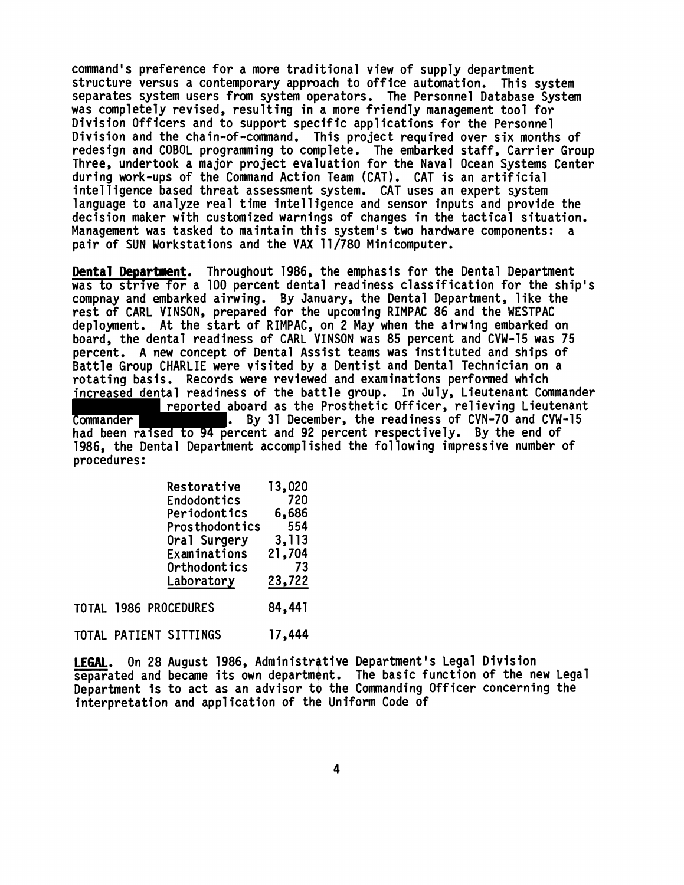command's preference for a more traditional view of supply department structure versus a contemporary approach to office automation. This system separates system users from system operators. The Personnel Database System was completely revised, resulting in a more friendly management tool for Division Officers and to support specific applications for the Personnel Division and the chain-of-command. this project required over six months of redesign and COBOL programming to complete. The embarked staff, Carrier Group Three, undertook a major project evaluation for the Naval Ocean Systems Center during work-ups of the Command Action Team (CAT). CAT is an artificial intelligence based threat assessment system. CAT uses an expert system language to analyze real time intelligence and sensor inputs and provide the decision maker with customized warniqgs of changes in the tactical situation. Management was tasked to maintain this system's two hardware components: a pair of SUN Workstations and the VAX 11/780 Minicomputer.

**Dental Departnent.** Throughout 1986, the emphasis for the Dental Department was to strive for a 100 percent dentdl readiness classification for the ship's compnay and embarked airwing. By January, the Dental Department, like the rest of CARL VINSON, prepared for the upcoming RIMPAC 86 and the WESTPAC deployment. At the start of RIMPAC, on 2 May when the airwing embarked on board, the dental readiness of CARL VINSON was 85 percent and CVW-15 was 75 percent. A new concept of Dental Assist teams was instituted and ships of Battle Group CHARLIE were visited by a Dentist and Dental Technician on a rotating basis. Records were reviewed and examinations performed which increased dental readiness of the battle group. In July, Lieutenant Commander reported aboard as the Prosthetic Officer, relieving Lieutenant Commander **.** By 31 December, the readiness of CVN-70 and CVW-15 had been raised to 94 percent and 92 percent respectively. By the end of 1986, the Dental Department accompl ished the fol lowing impressive number of procedures :

|  | Restorative           | 13,020 |
|--|-----------------------|--------|
|  | Endodontics           | 720    |
|  | Periodontics          | 6,686  |
|  | Prosthodontics        | 554    |
|  | Oral Surgery          | 3,113  |
|  | Examinations          | 21,704 |
|  | Orthodontics          | 73     |
|  | Laboratory            | 23,722 |
|  | TOTAL 1986 PROCEDURES | 84,441 |

TOTAL PATIENT SITTINGS 17,444

LEGAL. On 28 August 1986, Administrative Department's Legal Division separated and became its own department. The basic function of the new Legal Department is to act as an advisor to the Commanding Officer concerning the interpretation and application of the Uniform Code of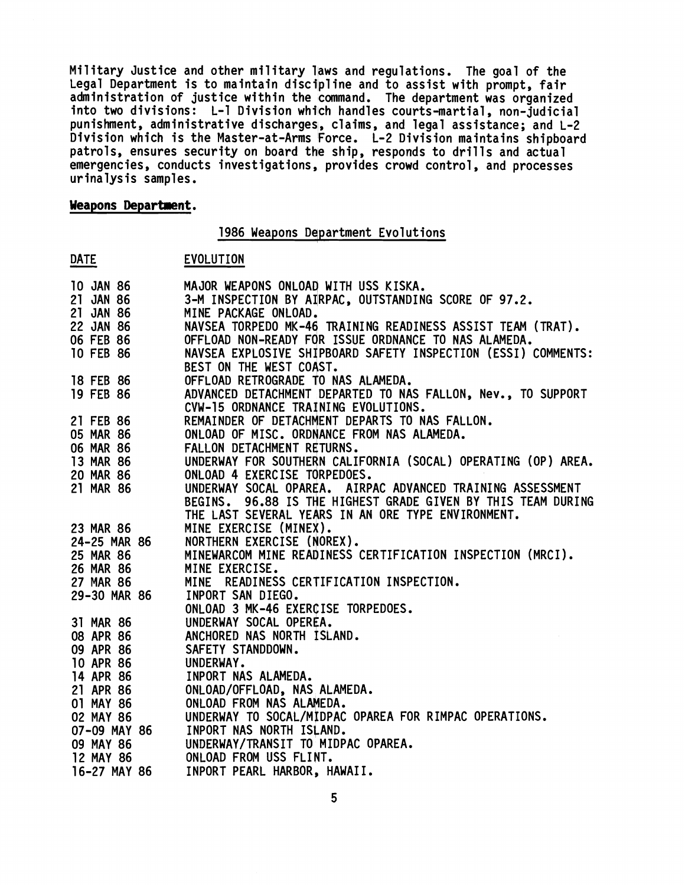Military Justice and other military laws and regulations. The goal of the Legal Department is to maintain discipline and to assist with prompt, fair administration of justice within the command. The department was organized into two divisions: L-1 Division which handles courts-martial, non-judicial punishment, administrative discharges, claims, and legal assistance; and L-2 Division which is the Master-at-Arms Force. L-2 Division maintains shipboard patrols, ensures security on board the ship, responds to drills and actual emergencies, conducts investigations, provides crowd control, and processes urinalysis samples.

# **Weapons Department.**  <mark>Weapons D</mark><br>DATE<br>10 JAN 86

1986 Weapons Department Evolutions

### EVOLUTION

| <b>10 JAN 86</b> | MAJOR WEAPONS ONLOAD WITH USS KISKA.                                   |
|------------------|------------------------------------------------------------------------|
| 21 JAN 86        | 3-M INSPECTION BY AIRPAC, OUTSTANDING SCORE OF 97.2.                   |
| 21 JAN 86        | MINE PACKAGE ONLOAD.                                                   |
| 22 JAN 86        | NAVSEA TORPEDO MK-46 TRAINING READINESS ASSIST TEAM (TRAT).            |
| 06 FEB 86        | OFFLOAD NON-READY FOR ISSUE ORDNANCE TO NAS ALAMEDA.                   |
| <b>10 FEB 86</b> | NAVSEA EXPLOSIVE SHIPBOARD SAFETY INSPECTION (ESSI) COMMENTS:          |
|                  | BEST ON THE WEST COAST.                                                |
| 18 FEB 86        | OFFLOAD RETROGRADE TO NAS ALAMEDA.                                     |
| 19 FEB 86        | ADVANCED DETACHMENT DEPARTED TO NAS FALLON, Nev., TO SUPPORT           |
|                  | CVW-15 ORDNANCE TRAINING EVOLUTIONS.                                   |
| 21 FEB 86        | REMAINDER OF DETACHMENT DEPARTS TO NAS FALLON.                         |
| 05 MAR 86        | ONLOAD OF MISC. ORDNANCE FROM NAS ALAMEDA.                             |
| 06 MAR 86        | FALLON DETACHMENT RETURNS.                                             |
| 13 MAR 86        | UNDERWAY FOR SOUTHERN CALIFORNIA (SOCAL) OPERATING (OP) AREA.          |
| <b>20 MAR 86</b> | ONLOAD 4 EXERCISE TORPEDOES.                                           |
| 21 MAR 86        | UNDERWAY SOCAL OPAREA. AIRPAC ADVANCED TRAINING ASSESSMENT             |
|                  | 96.88 IS THE HIGHEST GRADE GIVEN BY THIS TEAM DURING<br><b>BEGINS.</b> |
|                  | THE LAST SEVERAL YEARS IN AN ORE TYPE ENVIRONMENT.                     |
| 23 MAR 86        | MINE EXERCISE (MINEX).                                                 |
| 24-25 MAR 86     | NORTHERN EXERCISE (NOREX).                                             |
| 25 MAR 86        | MINEWARCOM MINE READINESS CERTIFICATION INSPECTION (MRCI).             |
| 26 MAR 86        | MINE EXERCISE.                                                         |
| <b>27 MAR 86</b> | READINESS CERTIFICATION INSPECTION.<br><b>MINE</b>                     |
| 29-30 MAR 86     | INPORT SAN DIEGO.                                                      |
|                  | ONLOAD 3 MK-46 EXERCISE TORPEDOES.                                     |
| 31 MAR 86        | UNDERWAY SOCAL OPEREA.                                                 |
| 08 APR 86        | ANCHORED NAS NORTH ISLAND.                                             |
| 09 APR 86        | SAFETY STANDDOWN.                                                      |
| 10 APR 86        | UNDERWAY.                                                              |
| 14 APR 86        | INPORT NAS ALAMEDA.                                                    |
| 21 APR 86        | ONLOAD/OFFLOAD, NAS ALAMEDA.                                           |
| 01 MAY 86        | ONLOAD FROM NAS ALAMEDA.                                               |
| 02 MAY 86        | UNDERWAY TO SOCAL/MIDPAC OPAREA FOR RIMPAC OPERATIONS.                 |
| 07-09 MAY 86     | INPORT NAS NORTH ISLAND.                                               |
| 09 MAY 86        | UNDERWAY/TRANSIT TO MIDPAC OPAREA.                                     |
| <b>12 MAY 86</b> | ONLOAD FROM USS FLINT.                                                 |
|                  |                                                                        |
| 16-27 MAY 86     | INPORT PEARL HARBOR, HAWAII.                                           |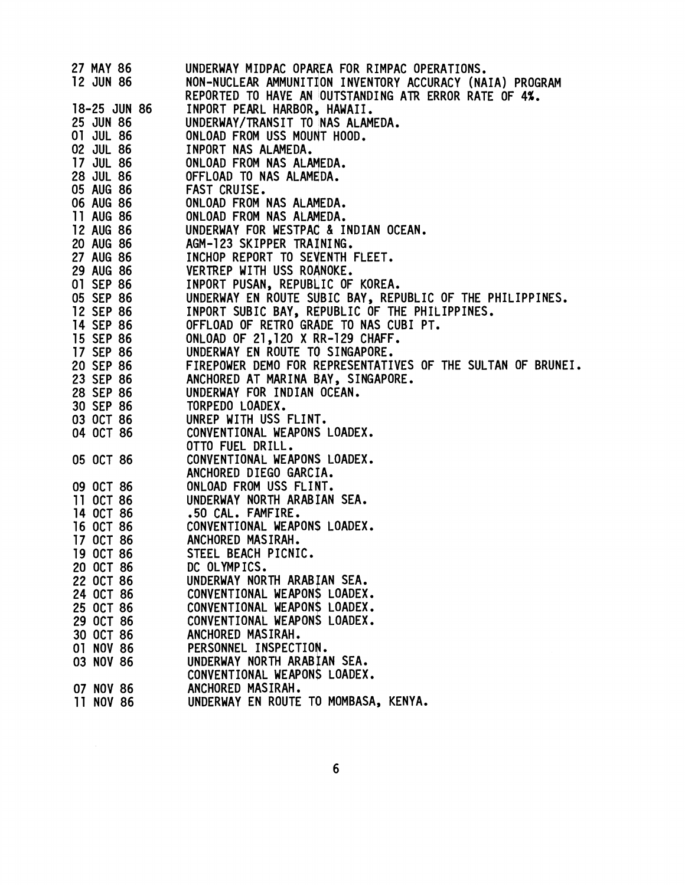| 27 MAY 86              | UNDERWAY MIDPAC OPAREA FOR RIMPAC OPERATIONS.               |
|------------------------|-------------------------------------------------------------|
| <b>12 JUN 86</b>       | NON-NUCLEAR AMMUNITION INVENTORY ACCURACY (NAIA) PROGRAM    |
|                        | REPORTED TO HAVE AN OUTSTANDING ATR ERROR RATE OF 4%.       |
| 18-25 JUN 86           | INPORT PEARL HARBOR, HAWAII.                                |
| 25 JUN 86              | UNDERWAY/TRANSIT TO NAS ALAMEDA.                            |
| 01 JUL 86              | ONLOAD FROM USS MOUNT HOOD.                                 |
| 02 JUL 86              | INPORT NAS ALAMEDA.                                         |
| 17 JUL 86              | ONLOAD FROM NAS ALAMEDA.                                    |
| 28 JUL 86              | OFFLOAD TO NAS ALAMEDA.                                     |
| 05 AUG 86              | FAST CRUISE.                                                |
| 06 AUG 86              | ONLOAD FROM NAS ALAMEDA.                                    |
| 11 AUG 86              | ONLOAD FROM NAS ALAMEDA.                                    |
| 12 AUG 86              | UNDERWAY FOR WESTPAC & INDIAN OCEAN.                        |
| <b>20 AUG 86</b>       | AGM-123 SKIPPER TRAINING.                                   |
| 27 AUG 86              | INCHOP REPORT TO SEVENTH FLEET.                             |
| 29 AUG 86              | VERTREP WITH USS ROANOKE.                                   |
| 01 SEP 86              | INPORT PUSAN, REPUBLIC OF KOREA.                            |
| 05 SEP 86              | UNDERWAY EN ROUTE SUBIC BAY, REPUBLIC OF THE PHILIPPINES.   |
|                        | INPORT SUBIC BAY, REPUBLIC OF THE PHILIPPINES.              |
| 12 SEP 86              | OFFLOAD OF RETRO GRADE TO NAS CUBI PT.                      |
| 14 SEP 86<br>15 SEP 86 |                                                             |
|                        | ONLOAD OF 21,120 X RR-129 CHAFF.                            |
| 17 SEP 86              | UNDERWAY EN ROUTE TO SINGAPORE.                             |
| 20 SEP 86              | FIREPOWER DEMO FOR REPRESENTATIVES OF THE SULTAN OF BRUNEI. |
| 23 SEP 86              | ANCHORED AT MARINA BAY, SINGAPORE.                          |
| 28 SEP 86              | UNDERWAY FOR INDIAN OCEAN.                                  |
| 30 SEP 86              | TORPEDO LOADEX.                                             |
| 03 OCT 86              | UNREP WITH USS FLINT.                                       |
| 04 OCT 86              | CONVENTIONAL WEAPONS LOADEX.                                |
|                        | OTTO FUEL DRILL.                                            |
| 05 OCT 86              | CONVENTIONAL WEAPONS LOADEX.<br>ANCHORED DIEGO GARCIA.      |
|                        | ONLOAD FROM USS FLINT.                                      |
| 09 OCT 86              | UNDERWAY NORTH ARABIAN SEA.                                 |
| 11 OCT 86              |                                                             |
| 14 OCT 86              | .50 CAL. FAMFIRE.<br>CONVENTIONAL WEAPONS LOADEX.           |
| 16 OCT 86              |                                                             |
| 17 OCT 86              | ANCHORED MASIRAH.<br>STEEL BEACH PICNIC.                    |
| 19 OCT 86              | DC OLYMPICS.                                                |
| 20 OCT 86              | UNDERWAY NORTH ARABIAN SEA.                                 |
| 22 OCT 86              |                                                             |
| 24 OCT 86              | CONVENTIONAL WEAPONS LOADEX.                                |
| 25 OCT 86              | CONVENTIONAL WEAPONS LOADEX.                                |
| 29 OCT 86              | CONVENTIONAL WEAPONS LOADEX.                                |
| 30 OCT 86              | ANCHORED MASIRAH.                                           |
| 01 NOV 86              | PERSONNEL INSPECTION.                                       |
| 03 NOV 86              | UNDERWAY NORTH ARABIAN SEA.                                 |
|                        | CONVENTIONAL WEAPONS LOADEX.                                |
| 07 NOV 86              | ANCHORED MASIRAH.                                           |
| 11 NOV 86              | UNDERWAY EN ROUTE TO MOMBASA, KENYA.                        |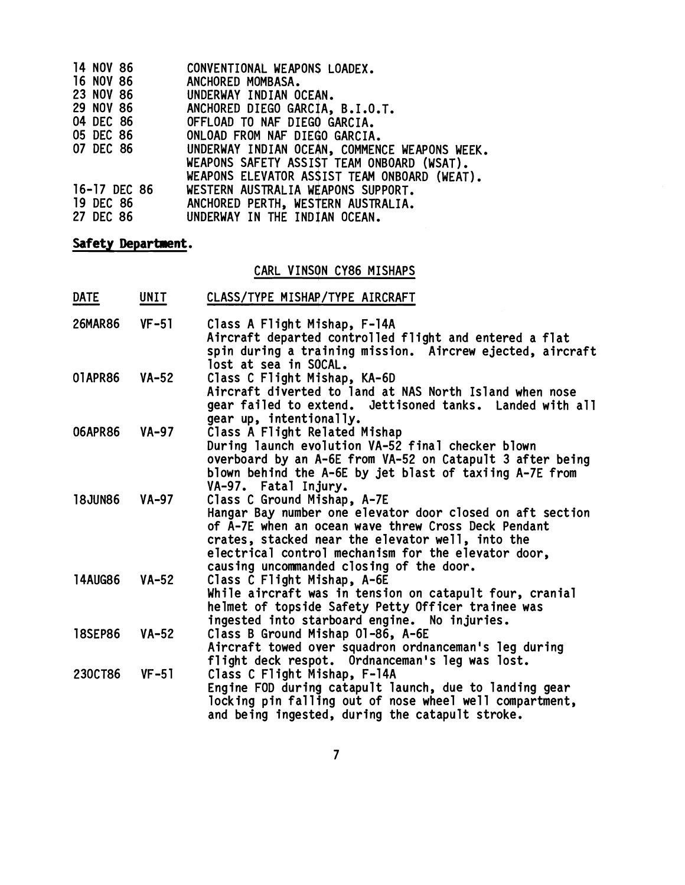| 14 NOV 86        | CONVENTIONAL WEAPONS LOADEX.                                                               |
|------------------|--------------------------------------------------------------------------------------------|
| 16 NOV 86        | ANCHORED MOMBASA.                                                                          |
| <b>23 NOV 86</b> | UNDERWAY INDIAN OCEAN.                                                                     |
| 29 NOV 86        | ANCHORED DIEGO GARCIA, B.I.O.T.                                                            |
| 04 DEC 86        | OFFLOAD TO NAF DIEGO GARCIA.                                                               |
| 05 DEC 86        | ONLOAD FROM NAF DIEGO GARCIA.                                                              |
| <b>07 DEC 86</b> | UNDERWAY INDIAN OCEAN, COMMENCE WEAPONS WEEK.                                              |
|                  | WEAPONS SAFETY ASSIST TEAM ONBOARD (WSAT).<br>WEAPONS ELEVATOR ASSIST TEAM ONBOARD (WEAT). |
| 16-17 DEC 86     | WESTERN AUSTRALIA WEAPONS SUPPORT.                                                         |
| 19 DEC 86        | ANCHORED PERTH, WESTERN AUSTRALIA.                                                         |
| 27 DEC 86        | UNDERWAY IN THE INDIAN OCEAN.                                                              |

## **Safety Department.**

# CARL VINSON CY86 MISHAPS

| Safety Department. |         |                                                                                                                                                                                                                                                                                                        |  |  |  |
|--------------------|---------|--------------------------------------------------------------------------------------------------------------------------------------------------------------------------------------------------------------------------------------------------------------------------------------------------------|--|--|--|
|                    |         | CARL VINSON CY86 MISHAPS                                                                                                                                                                                                                                                                               |  |  |  |
| <b>DATE</b>        | UNIT    | CLASS/TYPE MISHAP/TYPE AIRCRAFT                                                                                                                                                                                                                                                                        |  |  |  |
| <b>26MAR86</b>     | $VF-51$ | Class A Flight Mishap, F-14A<br>Aircraft departed controlled flight and entered a flat<br>spin during a training mission. Aircrew ejected, aircraft<br>lost at sea in SOCAL.                                                                                                                           |  |  |  |
| 01APR86            | $VA-52$ | Class C Flight Mishap, KA-6D<br>Aircraft diverted to land at NAS North Island when nose<br>gear failed to extend. Jettisoned tanks. Landed with all<br>gear up, intentionally.                                                                                                                         |  |  |  |
| 06APR86            | $VA-97$ | Class A Flight Related Mishap<br>During launch evolution VA-52 final checker blown<br>overboard by an A-6E from VA-52 on Catapult 3 after being<br>blown behind the A-6E by jet blast of taxiing A-7E from<br>VA-97. Fatal Injury.                                                                     |  |  |  |
| <b>18JUN86</b>     | $VA-97$ | Class C Ground Mishap, A-7E<br>Hangar Bay number one elevator door closed on aft section<br>of A-7E when an ocean wave threw Cross Deck Pendant<br>crates, stacked near the elevator well, into the<br>electrical control mechanism for the elevator door,<br>causing uncommanded closing of the door. |  |  |  |
| <b>14AUG86</b>     | $VA-52$ | Class C Flight Mishap, A-6E<br>While aircraft was in tension on catapult four, cranial<br>helmet of topside Safety Petty Officer trainee was<br>ingested into starboard engine. No injuries.                                                                                                           |  |  |  |
| <b>18SEP86</b>     | $VA-52$ | Class B Ground Mishap 01-86, A-6E<br>Aircraft towed over squadron ordnanceman's leg during<br>flight deck respot. Ordnanceman's leg was lost.                                                                                                                                                          |  |  |  |
| 230CT86            | $VF-51$ | Class C Flight Mishap, F-14A<br>Engine FOD during catapult launch, due to landing gear<br>locking pin falling out of nose wheel well compartment,<br>and being ingested, during the catapult stroke.                                                                                                   |  |  |  |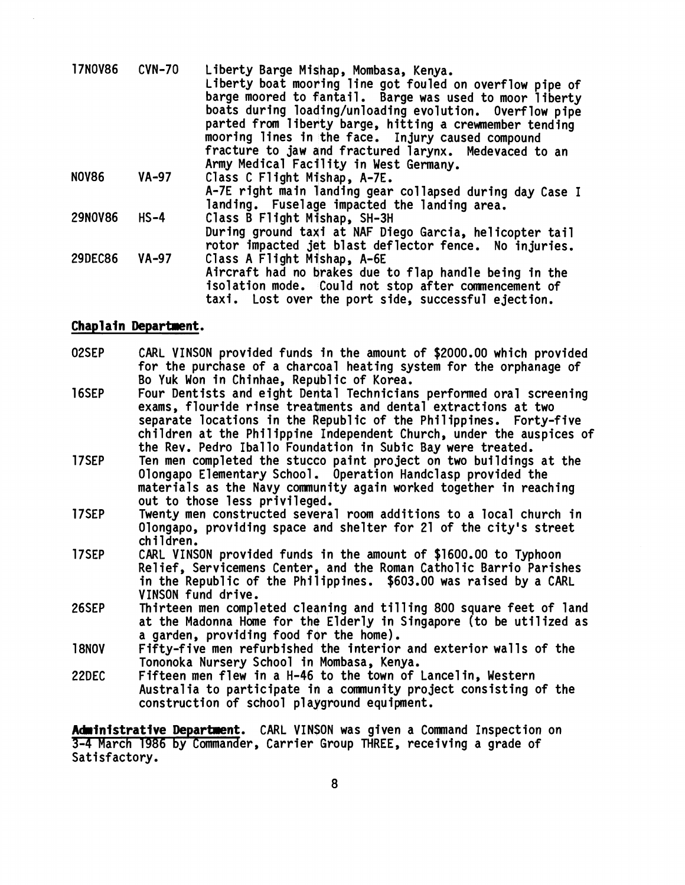| <b>17NOV86</b> | $CVM-70$ | Liberty Barge Mishap, Mombasa, Kenya.                    |
|----------------|----------|----------------------------------------------------------|
|                |          | Liberty boat mooring line got fouled on overflow pipe of |
|                |          | barge moored to fantail. Barge was used to moor liberty  |
|                |          | boats during loading/unloading evolution. Overflow pipe  |
|                |          | parted from liberty barge, hitting a crewmember tending  |
|                |          | mooring lines in the face. Injury caused compound        |
|                |          | fracture to jaw and fractured larynx. Medevaced to an    |
|                |          | Army Medical Facility in West Germany.                   |
| <b>NOV86</b>   | $VA-97$  | Class C Flight Mishap, A-7E.                             |
|                |          | A-7E right main landing gear collapsed during day Case I |
|                |          | landing. Fuselage impacted the landing area.             |
| <b>29NOV86</b> | $HS-4$   | Class B Flight Mishap, SH-3H                             |
|                |          | During ground taxi at NAF Diego Garcia, helicopter tail  |
|                |          | rotor impacted jet blast deflector fence. No injuries.   |
| <b>29DEC86</b> | $VA-97$  | Class A Flight Mishap, A-6E                              |
|                |          | Aircraft had no brakes due to flap handle being in the   |
|                |          | isolation mode. Could not stop after commencement of     |
|                |          | taxi. Lost over the port side, successful ejection.      |

### Chaplain Department.

- 02SEP CARL VINSON provided funds in the amount of \$2000.00 which provided for the purchase of a charcoal heating system for the orphanage of Bo Yuk Won in Chinhae, Republic of Korea. **16SEP** Four Dentists and eight Dental Technicians performed oral screening exams, flouride rinse treatments and dental extractions at two separate locations in the Republic of the Philippines. Forty-five children at the Philippine Independent Church, under the auspices of the Rev. Pedro Iballo Foundation in Subic Bay were treated. 17SEP Ten men completed the stucco paint project on two buildings at the Olongapo Elementary School. Operation Handclasp provided the materials as the Navy community again worked together in reaching out to those less privileged. 17SEP Twenty men constructed several room additions to a local church in Olongapo, providing space and shelter for 21 of the city's street children.
- 17SEP CARL VINSON provided funds in the amount of \$1600.00 to Typhoon Relief, Servicemens Center, and the Roman Catholic Barrio Parishes in the Republic of the phiiippines. \$603.00 was raised by a CARL VINSON fund drive.
- Thirteen men completed cleaning and tilling 800 square feet of land 26SEP at the Madonna Home for the Elderly in Singapore (to be utilized as a garden, providing food for the home).
- 18NOV Fifty-five men refurbished the interior and exterior walls of the Tononoka Nursery School in Mombasa, Kenya.
- 22DEC Fifteen men flew in a H-46 to the town of Lance1 in, Western Australia to participate in a community project consisting of the construction of school playground equipment.

Administrative Department. CARL VIN\$ON was given a Command Inspection on 3-4 March 1986 by Commander, Carrier Group THREE, receiving a grade of Satisfactory.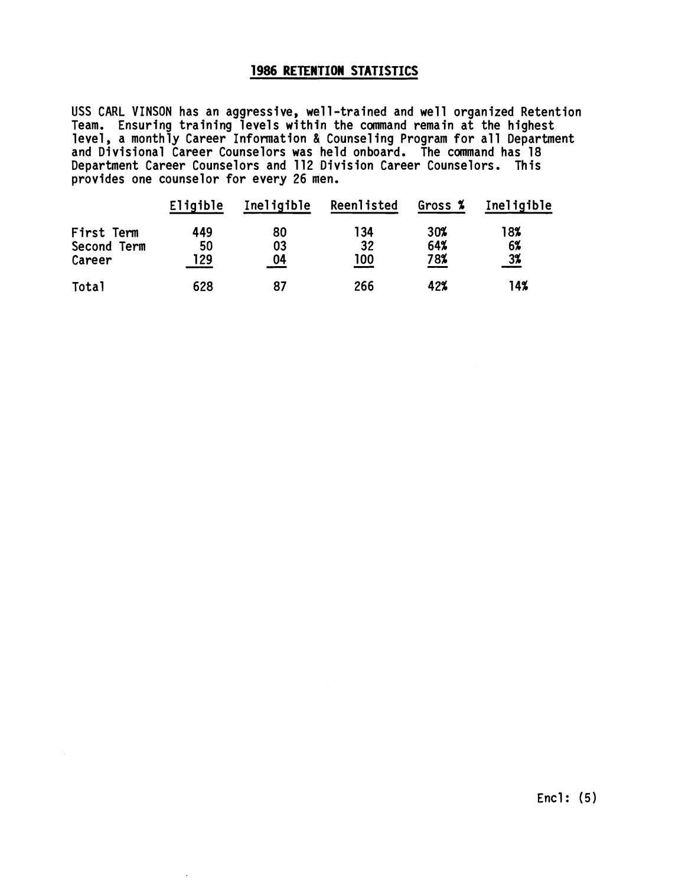## **1986 RETENTION STATISTICS**

USS CARL VINSON has an aggressive, wall-trained and we11 organized Retention Team. Ensuring training levels within the command remain at the highest  $\,$ level, a monthly Career Information & Counseling Program for all Department and Divisional Career Counselors was held onboard. The command has 18 Department Career Counselors and 112 Division Career Counselors. This provides one counselor for every 26 men.

|              | Eligible | Ineligible | Reenlisted | Gross % | Ineligible        |
|--------------|----------|------------|------------|---------|-------------------|
| First Term   | 449      | 80         | 134        | 30%     | 18%               |
| Second Term  | 50       | 03         | 32         | 64%     | 6%                |
| Career       | 29       | 04         | 100        | 78%     | $\frac{3\%}{2\%}$ |
| <b>Total</b> | 628      | 87         | 266        | 42%     | 14%               |

 $\blacksquare$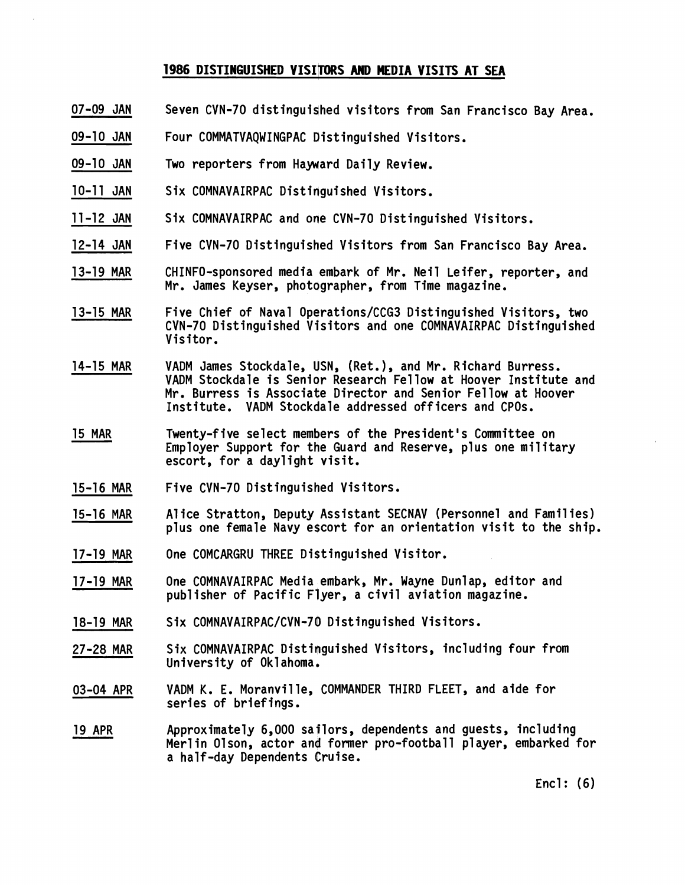### **1986 DISTINGUISHED VISITORS AND MEDIA VISITS AT SEA**

- 07-09 JAN Seven CVN-70 distinguidhed visitors from San Francisco Bay Area.
- 09-10 JAN Four COMMATVAQWINGPAC Distinguished Visitors.
- 09-10 JAN Two reporters from Hayward Daily Review.
- 10-11 JAN Six COMNAVAIRPAC Distinguished Visitors.
- 11-12 JAN Six COMNAVAIRPAC and one CVN-70 Distinguished Visitors.
- 12-14 JAN Five CVN-70 Distinguished Visitors from San Francisco Bay Area.
- 13-19 MAR CHINFO-sponsored media embark of Mr. Neil Leifer, reporter, and Mr. James Keyser, photographer, from Time magazine.
- Five Chief of Naval Operations/CCG3 Distinguished Visitors, two CVN-70 Distinguished Visitors and one COMNAVAIRPAC Distinguished Visitor. 13-15 MAR
- VADM James Stockdale, USN, (Ret.), and Mr. Richard Burress. VADM Stockdale is Senior Research Fellow at Hoover Institute and Mr. Burress is Associate Director and Senior Fellow at Hoover Institute. VADM Stockdale addressed officers and CPOs. 14-15 MAR
- 15 MAR Twenty-five select members of the President's Committee on Employer Support for the Guard and Reserve, plus one military escort, for a daylight visit.
- 15-16 MAR Five CVN-70 Distinguished Visitors.
- Alice Stratton, Deputy Assistant SECNAV (Personnel and Families) plus one female Navy escort for an orientation visit to the ship. 15-16 MAR
- 17-19 MAR One COMCARGRU THREE Distinguished Visitor.
- 17-19 MAR One COMNAVAIRPAC Media embark, Mr. Wayne Dunlap, editor and pub1 isher of Pacific Flyer, a civil aviation magazine.
- 18-19 MAR Six COMNAVAIRPAC/CVN-70 Distinguished Visitors.
- Six COMNAVAIRPAC Distinguished Visitors, including four from University of Oklahoma. 27-28 MAR
- VADM K. E. Moranville, COMMANDER THIRD FLEET, and aide for series of briefings. 03-04 APR
- 19 APR Approximately 6,000 sailors, dependents and guests, including Merl in 01 son, actor and former pro-football player, embarked for a half-day Dependents Cruise.

Encl: (6)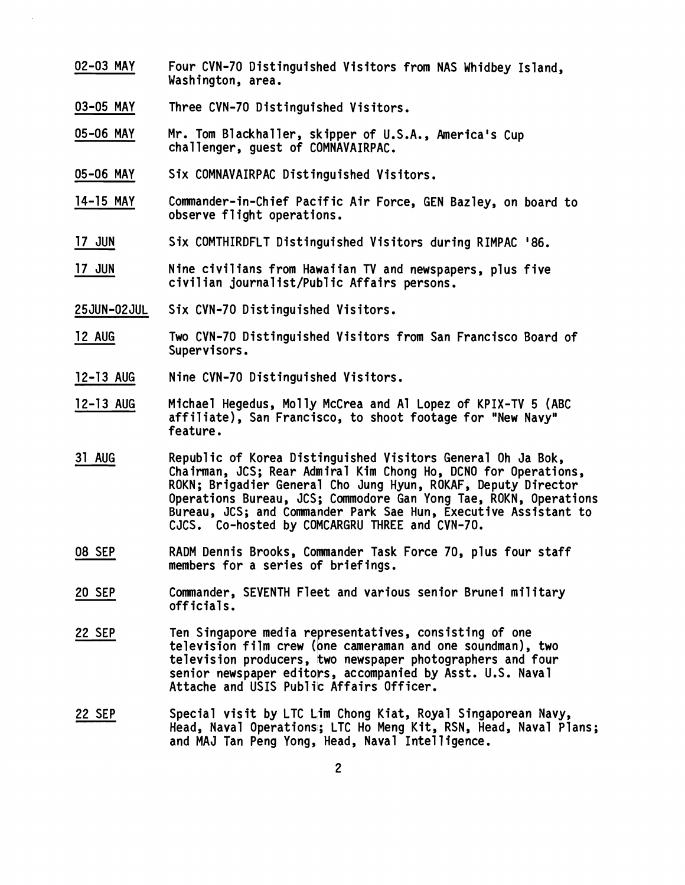- 02-03 MAY Four CVN-70 Distinguished Visitors from NAS Whidbey Island, Washington, area.
- 03-05 MAY Three CVN-70 Distinguished Visitors.
- 05-06 MAY Mr. Tom Blackhaller, skipper of U.S.A., America's Cup challenger, guest of COMNAVAIRPAC.
- 05-06 MAY Six COMNAVAIRPAC Distinguished Visitors.
- 14-15 MAY Commander-in-Chief Pacific Air Force, GEN Bazley, on board to observe flight operations.
- 17 JUN Six COMTHIRDFLT Distinouished Visitors during RIMPAC '86.
- 17 JUN Nine civilians from Hawaiian TV and newspapers, plus five civilian journalist/Public Affairs persons.
- 25 JUN-02JUL Six CVN-70 Distinguished Visitors.
- 12 AUG Two CVN-70 Distinguished Visitors from San Francisco Board of Supervisors.
- 12-13 AUG Nine CVN-70 Distinguished Visitors.
- 12-13 AUG Michael Hegedus, Mol ly McCrea and A1 Lopez of KPIX-TV 5 (ABC affiliate), San Francisco, to shoot footage for "New Navy" feature.
- 31 AUG Republic of Korea Distinguished Visitors General Oh Ja Bok, Chairman, JCS; Rear Admiral Kim Chong Ho, DCNO for Operations, ROKN; Brigadier General Cho Jung Hyun, ROKAF, Deputy Director Operations Bureau, JCS; Commodore Gan Yong Tae, ROKN, Operations Bureau, JCS; and Commander Park Sae Hun, Executive Assistant to CJCS. Co-hosted by COMCARGRU THREE and CVN-70.
- 08 SEP RADM Dennis Brooks, Commander Task Force 70, plus four staff members for a series of briefings.
- 20 SEP Commander, SEVENTH Fleet and various senior Brunei military officials.
- 22 SEP Ten Singapore media representatives, consisting of one television film crew (one cameraman and one soundman), two television producers, two newspaper photographers and four senior newspaper editors, accompanied by Asst. U.S. Naval Attache and USIS Public Affairs Officer.
- 22 SEP Special visit by LTC Lim Chong Kiat, Royal Singaporean Navy, Head, Naval Operations; LTC Ho Meng Kit, RSN, Head, Naval Plans; and MAJ Tan Peng Yong, Head, Naval Intelligence.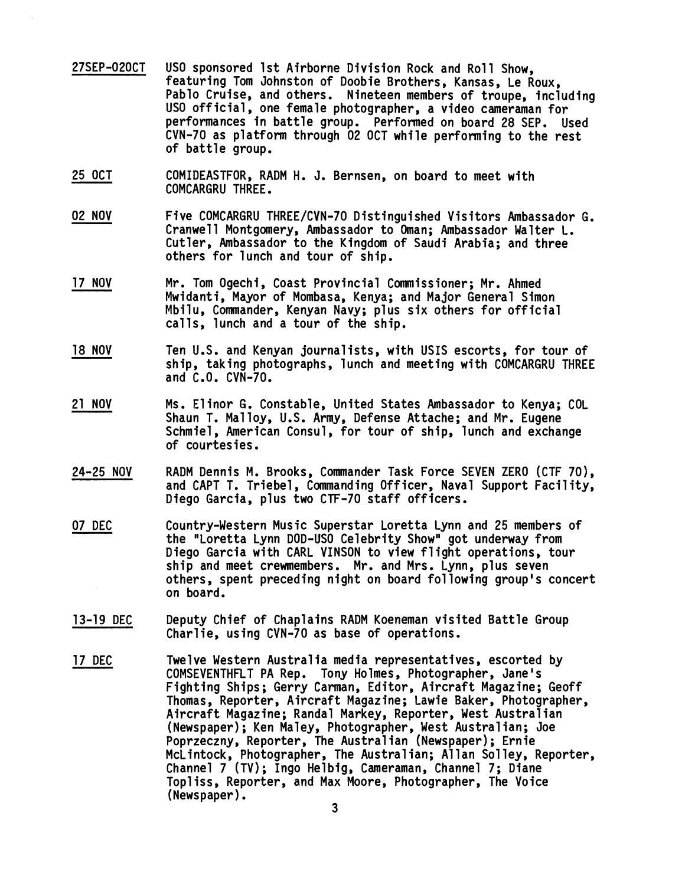- 27SEP-020CT USO sponsored 1st Airborne Division Rock and Roll Show, featuring Tom Johnston of Doobie Brothers, Kansas, Le Roux, Pablo Cruise, and others. Nineteen members of troupe, including<br>USO official, one female photographer, a video cameraman for performances in battle group. Performed on board 28 SEP. Used CVN-70 as platform through 02 OCT while performing to the rest of battle group.
- 25 OCT COMIDEASTFOR, RADM H. **4.** Bernsen, on board to meet with COMCARGRU THREE.
- 02 NOV Five COMCARGRU THREE/CvN-70 Distinguished Visitors Ambassador G. Cranwell Montgomery, Ambassador to Oman; Ambassador Walter L. Cutler, Ambassador to the Kingdom of Saudi Arabia; and three others for lunch and tour of ship.
- 17 NOV Mr. Tom Ogechi, Coast Provincial Commissioner; Mr. Ahmed Mwidanti, Mayor of Mombasa, Kenya; and Major General Simon Mbilu, Commander, Kenyan Navy; plus six others for official calls, lunch and a tour of the ship.
- 18 NOV Ten U.S. and Kenyan joyrnalists, with USIS escorts, for tour of ship, taking photographs, lunch and meeting with COMCARGRU THREE and C.O. CVN-70.
- 21 NOV Ms. El inor G. Constablq, United States Ambassador to Kenya; COL Shaun T. Ma1 loy, U.S. Army, Defense Attache; and Mr. Eugene Schmiel, American Consul, for tour of ship, lunch and exchange of courtesies.
- 24-25 NOV RADM Dennis M. Brooks, Commander Task Force SEVEN ZERO (CTF 70), and CAPT T. Triebel, Commanding Officer, Naval Support Facility, Diego Garcia, plus two CTF-70 staff officers.
- 07 DEC Country-Western Music guperstar Loretta Lynn and 25 members of the "Loretta Lynn DOD-VSO Celebrity Show" got underway from Diego Garcia with CARL VINSON to view flight operations, tour ship and meet crewmembers. Mr. and Mrs. Lynn, plus seven others, spent preceding night on board fol lowing group's concert on board.
- 13-19 DEC Deputy Chief of Chaplains RADM Koeneman visited Battle Group Charlie, using CVN-70 as base of operations.
- 17 DEC Twelve Western Australia media representatives, escorted by COMSEVENTHFLT PA Rep. Tony Holmes, Photographer, Jane's Fighting Ships ; Gerry Carman, Editor, Aircraft Magazine; Geoff Thomas, Reporter, Aircraft Magazine; Lawie Baker, Photographer, Aircraft Magazine; Randal Markey, Reporter, West Australian (Newspaper) ; Ken Maley, Photographer, West Australian; Joe (Newspaper); Ken Maley, Photographer, West Australian; Joe<br>Poprzeczny, Reporter, The Australian (Newspaper); Ernie McLintock, Photographer, The Australian; Allan Solley, Reporter, Channel 7 (TV); Ingo Helbig, Cameraman, Channel 7; Diane Topliss, Reporter, and Max Moore, Photographer, The Voice (Newspaper).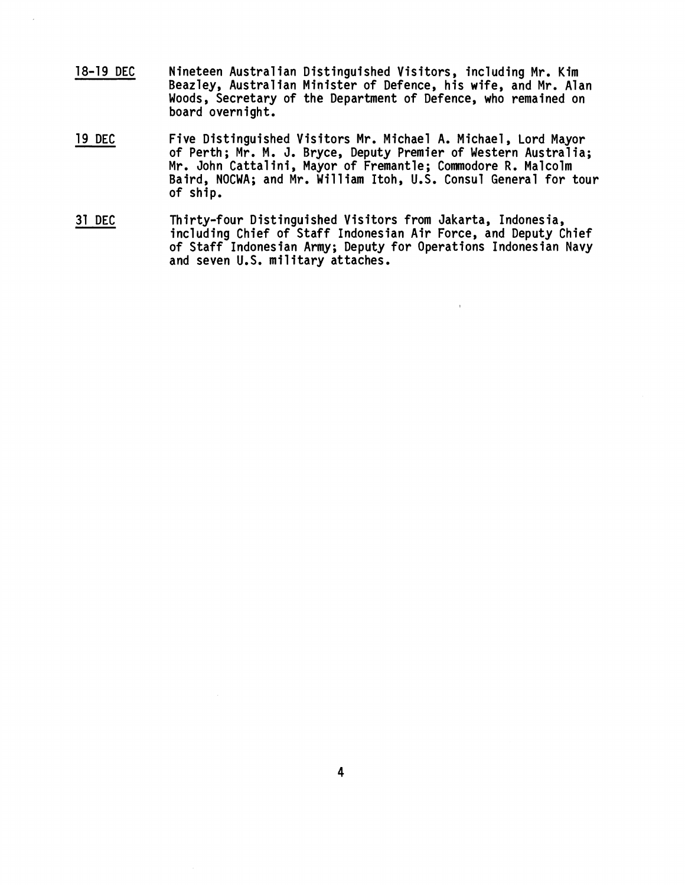- **18-19 DEC Nineteen Australian Distinguished Visitors, including Mr. Kim Beazley, Australian Minister of Defence, his wife, and Mr. Alan Woods, Secretary of the Department of Defence, who remained on board overnight.**
- **19 DEC Five Distinguished Visfitors Mr. Michael A. Michael, Lord Mayor**  of Perth; Mr. M. J. Bryce, Deputy Premier of Western Australia; **Mr. John Cattalini, Mayor of Fremantle; Commodore R. Malcolm Baird, NOCWA; and Mr. Will iam Itoh, U.S. Consul General for tour of ship.**
- **31 DEC Thirty-f our Distinguished Visitors from Jakarta, Indonesia, including Chief of Staff Indonesian Air Force, and Deputy Chief of Staff Indonesian Army; Deputy for Operations Indonesian Navy and seven U.S. military attaches.**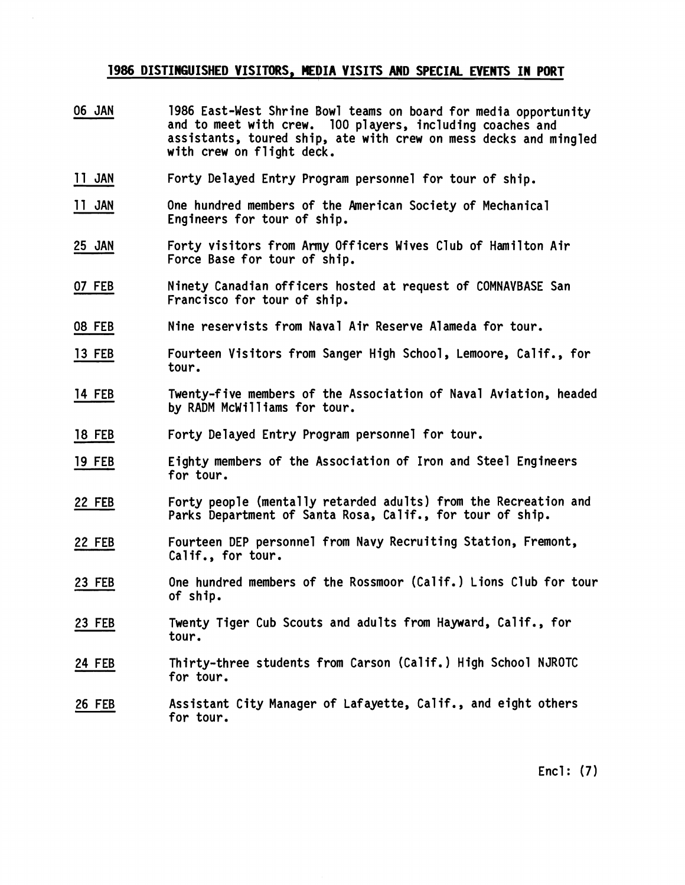### **1986 DISTINGUISHED VISITORS, MEDIA VISITS AND SPECIAL EVENTS IN PORT**

- 06 JAN 1986 East-West Shrine Bowl teams on board for media opportunity and to meet with crew. 100 players, including coaches and assistants, toured ship, ate with crew on mess decks and mingled with crew on flight deck.
- 11 JAN Forty Delayed Entry Program personnel for tour of ship.
- 11 JAN One hundred members of the American Society of Mechanical Engineers for tour of ship.
- 25 JAN Forty visitors from Army Officers Wives Club of Hamilton Air Force Base for tour of ship.
- 07 FEB Ninety Canadian officers hosted at request of COMNAVBASE San Francisco for tour of ship.
- 08 FEB Nine reservists from Naval Air Reserve Alameda for tour.
- 13 FEB Fourteen Visitors from Sanger High School, Lemoore, Calif., for tour.
- 14 FEB Twenty-five members of the Association of Naval Aviation, headed by RADM McWilliams for tour.
- 18 FEB Forty Delayed Entry Program personnel for tour.
- 19 FEB Eighty members of the Association of Iron and Steel Engineers for tour.
- 22 FEB Forty people (mentally retarded adults) from the Recreation and Parks Department of Santa Rosa, Calif., for tour of ship.
- 22 FEB Fourteen DEP personnel from Navy Recruiting Station, Fremont, Calif., for tour.
- 23 FEB One hundred members of the Rossmoor (Calif. ) Lions Club for tour of ship.
- 23 FEB Twenty Tiger Cub Scouts and adults from Hayward, Calif., for tour.
- 24 FEB Thirty-three students from Carson (Calif.) High School NJROTC for tour.
- 26 FEB Assistant City Manager of Lafayette, Calif., and eight others for tour.

Encl: **(7)**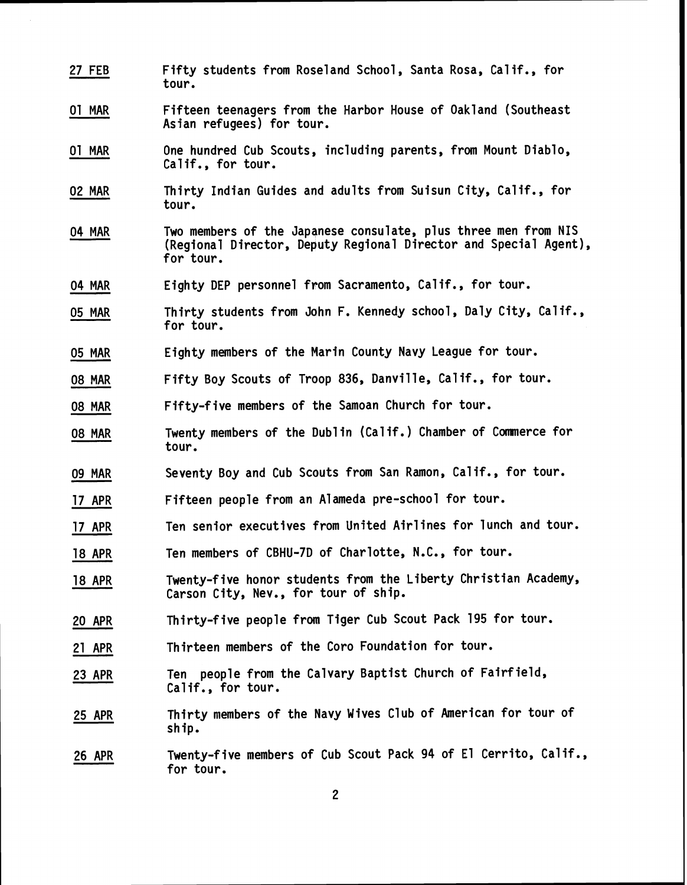27 FEB Fifty students from Roseland School, Santa Rosa, Calif., for tour. Fifteen teenagers from the Harbor House of Oakland (Southeast Asian refugees) for tour. 01 MAR 01 MAR One hundred Cub Scouts, including parents, from Mount Diablo, Calif., for tour. Thirty Indian Guides and adults from Suisun City, Calif., for tour. 02 MAR 04 MAR Two members of the Japanese consulate, plus three men from NIS (Regional Director, Deputy Regional Director and Special Agent), for tour. 04 MAR Eighty DEP personnel from Sacramento, Calif., for tour. 05 MAR Thirty students from John F. Kennedy school, Daly City, Calif., for tour. 05 MAR Eighty members of the Marin County Navy League for tour. 08 MAR Fifty Boy Scouts of Troop 836, Danville, Calif., for tour. 08 MAR Fifty-five members of the Samoan Church for tour. Twenty members of the Dublin (Calif.) Chamber of Commerce for tour. 08 MAR 09 MAR Seventy Boy and Cub Scouts from San Ramon, Calif., for tour. 17 APR Fifteen people from an Alameda pre-school for tour. 17 APR Ten senior executives from United Airlines for lunch and tour. 18 APR Ten members of CBHU-7D of Charlotte, N.C., for tour. Twenty-f ive honor students from the Liberty Christian Academy, Carson City, Nev., for tour of ship. 18 APR 20 APR Thirty-f ive people from Tiger Cub Scout Pack 195 for tour. 21 APR Thirteen members of the Coro Foundation for tour. Ten people from the Calvary Baptist Church of Fairf ield, Calif., for tour. 23 APR Thirty members of the Navy Wives Club of American for tour of ship. 25 APR Twenty-f ive members of Cub Scout Pack 94 of El Cerrito, Calif., for tour. 26 APR

 $\boldsymbol{2}$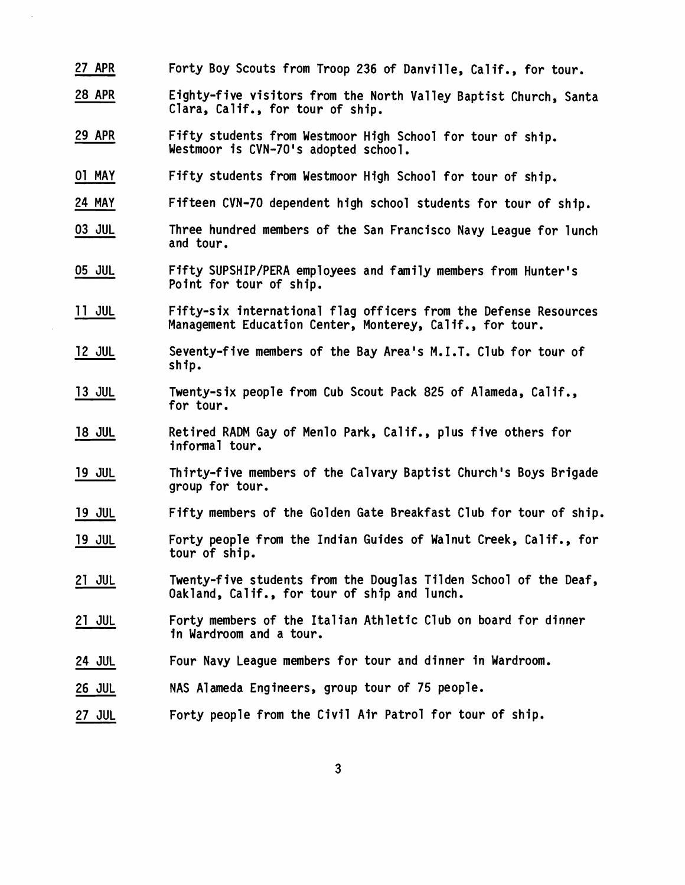- 27 APR Forty Boy Scouts from Troop 236 of Danville, Calif., for tour.
- 28 APR Eighty-five visitors from the North Valley Baptist Church, Santa Clara, Calif., for tour of ship.
- 29 APR Fifty students from Westmoor High School for tour of ship. Westmoor is CVN-70's adopted school.
- 01 MAY Fifty students from Westmoor High School for tour of ship.
- 24 MAY Fifteen CVN-70 dependent high school students for tour of ship.
- 03 JUL Three hundred members of the San Francisco Navy League for lunch and tour.
- 05 JUL Fifty SUPSHIP/PERA employees and family members from Hunter's Point for tour of ship.
- 11 JUL Fifty-six international flag officers from the Defense Resources Management Education Center, Monterey, Calif., for tour.
- 12 JUL Seventy-five members of the Bay Area's M.I.T. Club for tour of ship.
- Twenty-six people from Cub Scout Pack 825 of Alameda, Calif., 13 JUL for tour.
- 18 JUL Retired RADM Gay of Menlo Park, Calif., plus five others for informal tour.
- 19 JUL Thirty-five members of the Calvary Baptist Church's Boys Brigade group for tour.
- 19 JUL Fifty members of the Golden Gate Breakfast Club for tour of ship.
- 19 JUL Forty people from the Indian Guides of Walnut Creek, Calif., for tour of ship.
- 21 JUL Twenty-five students from the Douglas Tilden School of the Deaf, Oakland, Calif., for tour of ship and lunch.
- 21 JUL Forty members of the Italian Athletic Club on board for dinner in Wardroom and a tour.
- 24 JUL Four Navy League members for tour and dinner in Wardroom.
- 26 JUL NAS Alameda Engineers, group tour of 75 people.
- 27 JUL Forty people from the Civil Air Patrol for tour of ship.